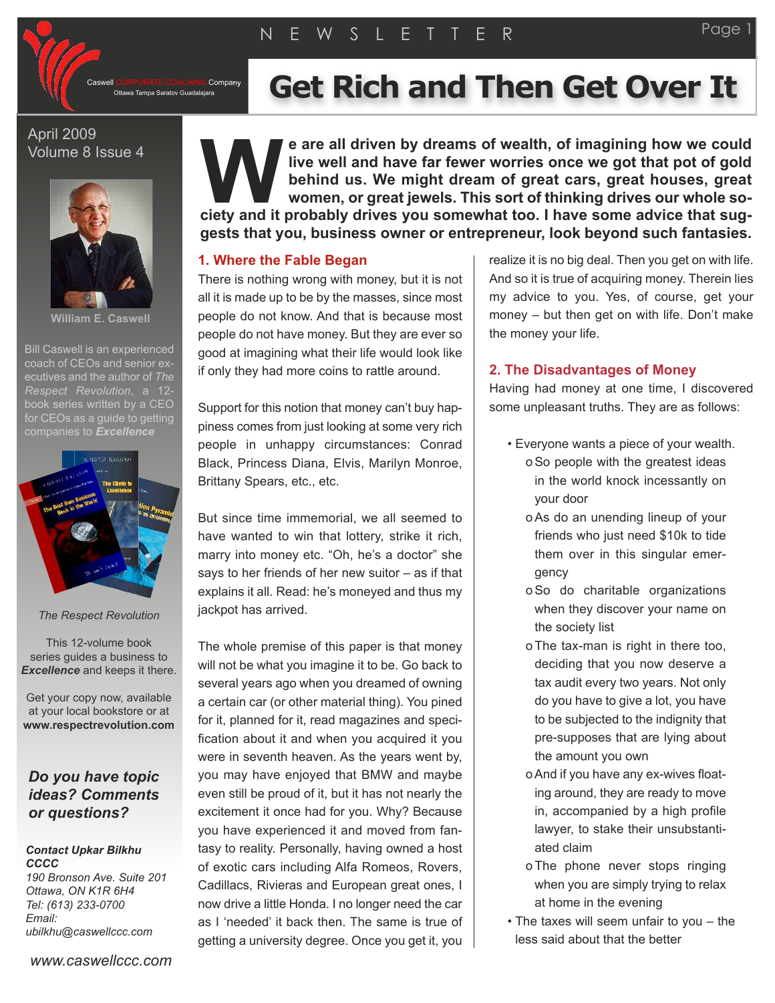Company

# Ottawa Tampa Saratov Guadalajara **Get Rich and Then Get Over It**

## April 2009 Volume 8 Issue 4



**William E. Caswell**

Bill Caswell is an experienced coach of CEOs and senior executives and the author of *The Respect Revolution*, a 12 book series written by a CEO for CEOs as a quide to getting



*The Respect Revolution*

This 12-volume book series guides a business to *Excellence* and keeps it there.

Get your copy now, available at your local bookstore or at **www.respectrevolution.com**

## *Do you have topic ideas? Comments or questions?*

#### *Contact Upkar Bilkhu CCCC*

*190 Bronson Ave. Suite 201 Ottawa, ON K1R 6H4 Tel: (613) 233-0700 Email: ubilkhu@caswellccc.com*

**e are all driven by dreams of wealth, of imagining how we could live well and have far fewer worries once we got that pot of gold behind us. We might dream of great cars, great houses, great women, or great jewels. This sort of thinking drives our whole sok c** are all driven by dreams of wealth, of imagining how we could live well and have far fewer worries once we got that pot of gold behind us. We might dream of great cars, great houses, great women, or great jewels. T **gests that you, business owner or entrepreneur, look beyond such fantasies.**

### **1. Where the Fable Began**

There is nothing wrong with money, but it is not all it is made up to be by the masses, since most people do not know. And that is because most people do not have money. But they are ever so good at imagining what their life would look like if only they had more coins to rattle around.

Support for this notion that money can't buy happiness comes from just looking at some very rich people in unhappy circumstances: Conrad Black, Princess Diana, Elvis, Marilyn Monroe, Brittany Spears, etc., etc.

But since time immemorial, we all seemed to have wanted to win that lottery, strike it rich, marry into money etc. "Oh, he's a doctor" she says to her friends of her new suitor – as if that explains it all. Read: he's moneyed and thus my jackpot has arrived.

The whole premise of this paper is that money will not be what you imagine it to be. Go back to several years ago when you dreamed of owning a certain car (or other material thing). You pined for it, planned for it, read magazines and specification about it and when you acquired it you were in seventh heaven. As the years went by, you may have enjoyed that BMW and maybe even still be proud of it, but it has not nearly the excitement it once had for you. Why? Because you have experienced it and moved from fantasy to reality. Personally, having owned a host of exotic cars including Alfa Romeos, Rovers, Cadillacs, Rivieras and European great ones, I now drive a little Honda. I no longer need the car as I 'needed' it back then. The same is true of getting a university degree. Once you get it, you realize it is no big deal. Then you get on with life. And so it is true of acquiring money. Therein lies my advice to you. Yes, of course, get your money – but then get on with life. Don't make the money your life.

## **2. The Disadvantages of Money**

Having had money at one time, I discovered some unpleasant truths. They are as follows:

- Everyone wants a piece of your wealth. oSo people with the greatest ideas in the world knock incessantly on your door
	- oAs do an unending lineup of your friends who just need \$10k to tide them over in this singular emergency
	- oSo do charitable organizations when they discover your name on the society list
	- o The tax-man is right in there too, deciding that you now deserve a tax audit every two years. Not only do you have to give a lot, you have to be subjected to the indignity that pre-supposes that are lying about the amount you own
	- oAnd if you have any ex-wives floating around, they are ready to move in, accompanied by a high profile lawyer, to stake their unsubstantiated claim
	- o The phone never stops ringing when you are simply trying to relax at home in the evening
- The taxes will seem unfair to you the less said about that the better